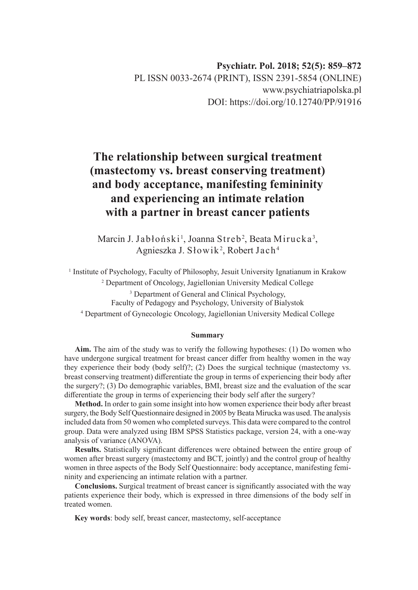# **The relationship between surgical treatment (mastectomy vs. breast conserving treatment) and body acceptance, manifesting femininity and experiencing an intimate relation with a partner in breast cancer patients**

Marcin J. Jabłoński<sup>1</sup>, Joanna Streb<sup>2</sup>, Beata Mirucka<sup>3</sup>, Agnieszka J. Słowik<sup>2</sup>, Robert Jach<sup>4</sup>

<sup>1</sup> Institute of Psychology, Faculty of Philosophy, Jesuit University Ignatianum in Krakow 2 Department of Oncology, Jagiellonian University Medical College

> <sup>3</sup> Department of General and Clinical Psychology, Faculty of Pedagogy and Psychology, University of Bialystok

4 Department of Gynecologic Oncology, Jagiellonian University Medical College

#### **Summary**

**Aim.** The aim of the study was to verify the following hypotheses: (1) Do women who have undergone surgical treatment for breast cancer differ from healthy women in the way they experience their body (body self)?; (2) Does the surgical technique (mastectomy vs. breast conserving treatment) differentiate the group in terms of experiencing their body after the surgery?; (3) Do demographic variables, BMI, breast size and the evaluation of the scar differentiate the group in terms of experiencing their body self after the surgery?

**Method.** In order to gain some insight into how women experience their body after breast surgery, the Body Self Questionnaire designed in 2005 by Beata Mirucka was used. The analysis included data from 50 women who completed surveys. This data were compared to the control group. Data were analyzed using IBM SPSS Statistics package, version 24, with a one-way analysis of variance (ANOVA).

**Results.** Statistically significant differences were obtained between the entire group of women after breast surgery (mastectomy and BCT, jointly) and the control group of healthy women in three aspects of the Body Self Questionnaire: body acceptance, manifesting femininity and experiencing an intimate relation with a partner.

**Conclusions.** Surgical treatment of breast cancer is significantly associated with the way patients experience their body, which is expressed in three dimensions of the body self in treated women.

**Key words**: body self, breast cancer, mastectomy, self-acceptance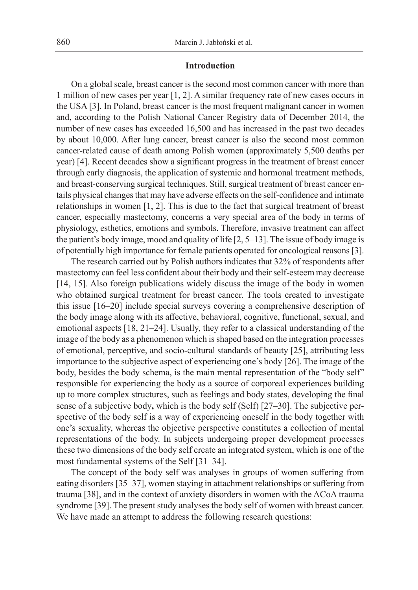### **Introduction**

On a global scale, breast cancer is the second most common cancer with more than 1 million of new cases per year [1, 2]. A similar frequency rate of new cases occurs in the USA [3]. In Poland, breast cancer is the most frequent malignant cancer in women and, according to the Polish National Cancer Registry data of December 2014, the number of new cases has exceeded 16,500 and has increased in the past two decades by about 10,000. After lung cancer, breast cancer is also the second most common cancer-related cause of death among Polish women (approximately 5,500 deaths per year) [4]. Recent decades show a significant progress in the treatment of breast cancer through early diagnosis, the application of systemic and hormonal treatment methods, and breast-conserving surgical techniques. Still, surgical treatment of breast cancer entails physical changes that may have adverse effects on the self-confidence and intimate relationships in women [1, 2]. This is due to the fact that surgical treatment of breast cancer, especially mastectomy, concerns a very special area of the body in terms of physiology, esthetics, emotions and symbols. Therefore, invasive treatment can affect the patient's body image, mood and quality of life [2, 5–13]. The issue of body image is of potentially high importance for female patients operated for oncological reasons [3].

The research carried out by Polish authors indicates that 32% of respondents after mastectomy can feel less confident about their body and their self-esteem may decrease [14, 15]. Also foreign publications widely discuss the image of the body in women who obtained surgical treatment for breast cancer. The tools created to investigate this issue [16–20] include special surveys covering a comprehensive description of the body image along with its affective, behavioral, cognitive, functional, sexual, and emotional aspects [18, 21–24]. Usually, they refer to a classical understanding of the image of the body as a phenomenon which is shaped based on the integration processes of emotional, perceptive, and socio-cultural standards of beauty [25], attributing less importance to the subjective aspect of experiencing one's body [26]. The image of the body, besides the body schema, is the main mental representation of the "body self" responsible for experiencing the body as a source of corporeal experiences building up to more complex structures, such as feelings and body states, developing the final sense of a subjective body**,** which is the body self (Self) [27–30]. The subjective perspective of the body self is a way of experiencing oneself in the body together with one's sexuality, whereas the objective perspective constitutes a collection of mental representations of the body. In subjects undergoing proper development processes these two dimensions of the body self create an integrated system, which is one of the most fundamental systems of the Self [31–34].

The concept of the body self was analyses in groups of women suffering from eating disorders [35–37], women staying in attachment relationships or suffering from trauma [38], and in the context of anxiety disorders in women with the ACoA trauma syndrome [39]. The present study analyses the body self of women with breast cancer. We have made an attempt to address the following research questions: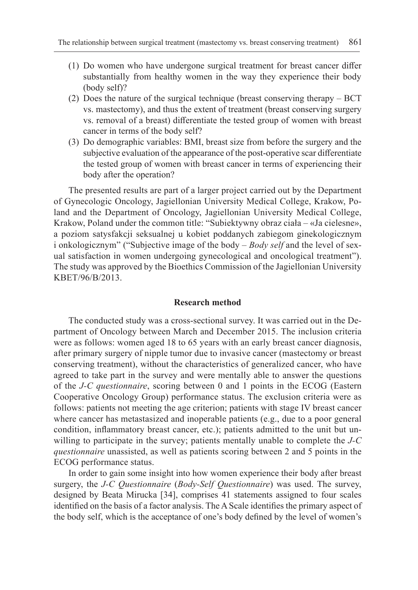- (1) Do women who have undergone surgical treatment for breast cancer differ substantially from healthy women in the way they experience their body (body self)?
- (2) Does the nature of the surgical technique (breast conserving therapy BCT vs. mastectomy), and thus the extent of treatment (breast conserving surgery vs. removal of a breast) differentiate the tested group of women with breast cancer in terms of the body self?
- (3) Do demographic variables: BMI, breast size from before the surgery and the subjective evaluation of the appearance of the post-operative scar differentiate the tested group of women with breast cancer in terms of experiencing their body after the operation?

The presented results are part of a larger project carried out by the Department of Gynecologic Oncology, Jagiellonian University Medical College, Krakow, Poland and the Department of Oncology, Jagiellonian University Medical College, Krakow, Poland under the common title: "Subiektywny obraz ciała – «Ja cielesne», a poziom satysfakcji seksualnej u kobiet poddanych zabiegom ginekologicznym i onkologicznym" ("Subjective image of the body – *Body self* and the level of sexual satisfaction in women undergoing gynecological and oncological treatment"). The study was approved by the Bioethics Commission of the Jagiellonian University KBET/96/B/2013.

# **Research method**

The conducted study was a cross-sectional survey. It was carried out in the Department of Oncology between March and December 2015. The inclusion criteria were as follows: women aged 18 to 65 years with an early breast cancer diagnosis, after primary surgery of nipple tumor due to invasive cancer (mastectomy or breast conserving treatment), without the characteristics of generalized cancer, who have agreed to take part in the survey and were mentally able to answer the questions of the *J-C questionnaire*, scoring between 0 and 1 points in the ECOG (Eastern Cooperative Oncology Group) performance status. The exclusion criteria were as follows: patients not meeting the age criterion; patients with stage IV breast cancer where cancer has metastasized and inoperable patients (e.g., due to a poor general condition, inflammatory breast cancer, etc.); patients admitted to the unit but unwilling to participate in the survey; patients mentally unable to complete the *J-C questionnaire* unassisted, as well as patients scoring between 2 and 5 points in the ECOG performance status.

In order to gain some insight into how women experience their body after breast surgery, the *J-C Questionnaire* (*Body-Self Questionnaire*) was used. The survey, designed by Beata Mirucka [34], comprises 41 statements assigned to four scales identified on the basis of a factor analysis. The A Scale identifies the primary aspect of the body self, which is the acceptance of one's body defined by the level of women's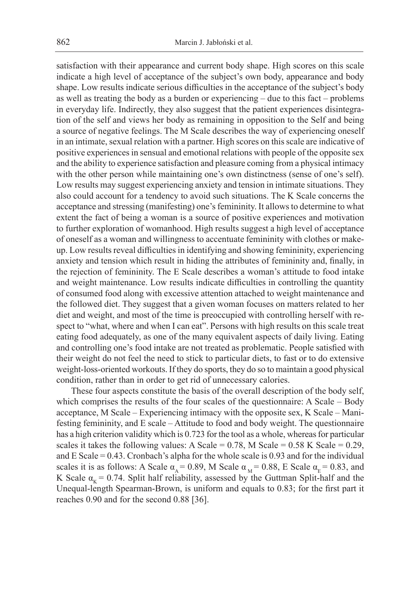satisfaction with their appearance and current body shape. High scores on this scale indicate a high level of acceptance of the subject's own body, appearance and body shape. Low results indicate serious difficulties in the acceptance of the subject's body as well as treating the body as a burden or experiencing – due to this fact – problems in everyday life. Indirectly, they also suggest that the patient experiences disintegration of the self and views her body as remaining in opposition to the Self and being a source of negative feelings. The M Scale describes the way of experiencing oneself in an intimate, sexual relation with a partner. High scores on this scale are indicative of positive experiences in sensual and emotional relations with people of the opposite sex and the ability to experience satisfaction and pleasure coming from a physical intimacy with the other person while maintaining one's own distinctness (sense of one's self). Low results may suggest experiencing anxiety and tension in intimate situations. They also could account for a tendency to avoid such situations. The K Scale concerns the acceptance and stressing (manifesting) one's femininity. It allows to determine to what extent the fact of being a woman is a source of positive experiences and motivation to further exploration of womanhood. High results suggest a high level of acceptance of oneself as a woman and willingness to accentuate femininity with clothes or makeup. Low results reveal difficulties in identifying and showing femininity, experiencing anxiety and tension which result in hiding the attributes of femininity and, finally, in the rejection of femininity. The E Scale describes a woman's attitude to food intake and weight maintenance. Low results indicate difficulties in controlling the quantity of consumed food along with excessive attention attached to weight maintenance and the followed diet. They suggest that a given woman focuses on matters related to her diet and weight, and most of the time is preoccupied with controlling herself with respect to "what, where and when I can eat". Persons with high results on this scale treat eating food adequately, as one of the many equivalent aspects of daily living. Eating and controlling one's food intake are not treated as problematic. People satisfied with their weight do not feel the need to stick to particular diets, to fast or to do extensive weight-loss-oriented workouts. If they do sports, they do so to maintain a good physical condition, rather than in order to get rid of unnecessary calories.

These four aspects constitute the basis of the overall description of the body self, which comprises the results of the four scales of the questionnaire: A Scale – Body acceptance, M Scale – Experiencing intimacy with the opposite sex, K Scale – Manifesting femininity, and E scale – Attitude to food and body weight. The questionnaire has a high criterion validity which is 0.723 for the tool as a whole, whereas for particular scales it takes the following values: A Scale =  $0.78$ , M Scale =  $0.58$  K Scale =  $0.29$ , and E Scale = 0.43. Cronbach's alpha for the whole scale is 0.93 and for the individual scales it is as follows: A Scale  $\alpha_A = 0.89$ , M Scale  $\alpha_M = 0.88$ , E Scale  $\alpha_E = 0.83$ , and K Scale  $\alpha_k = 0.74$ . Split half reliability, assessed by the Guttman Split-half and the Unequal-length Spearman-Brown, is uniform and equals to 0.83; for the first part it reaches 0.90 and for the second 0.88 [36].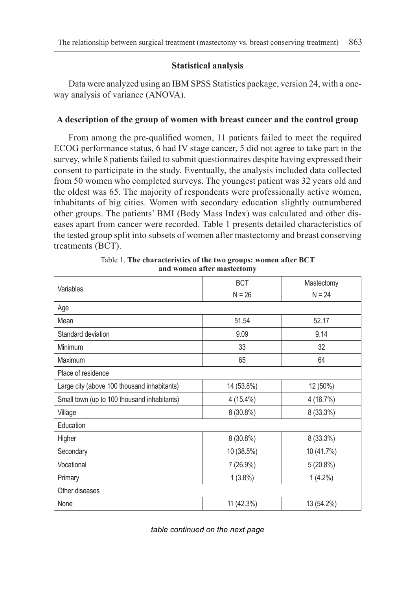# **Statistical analysis**

Data were analyzed using an IBM SPSS Statistics package, version 24, with a oneway analysis of variance (ANOVA).

## **A description of the group of women with breast cancer and the control group**

From among the pre-qualified women, 11 patients failed to meet the required ECOG performance status, 6 had IV stage cancer, 5 did not agree to take part in the survey, while 8 patients failed to submit questionnaires despite having expressed their consent to participate in the study. Eventually, the analysis included data collected from 50 women who completed surveys. The youngest patient was 32 years old and the oldest was 65. The majority of respondents were professionally active women, inhabitants of big cities. Women with secondary education slightly outnumbered other groups. The patients' BMI (Body Mass Index) was calculated and other diseases apart from cancer were recorded. Table 1 presents detailed characteristics of the tested group split into subsets of women after mastectomy and breast conserving treatments (BCT).

| Variables                                   | <b>BCT</b>  | Mastectomy |  |
|---------------------------------------------|-------------|------------|--|
|                                             | $N = 26$    | $N = 24$   |  |
| Age                                         |             |            |  |
| Mean                                        | 51.54       | 52.17      |  |
| Standard deviation                          | 9.09        | 9.14       |  |
| Minimum                                     | 33          | 32         |  |
| Maximum                                     | 65          | 64         |  |
| Place of residence                          |             |            |  |
| Large city (above 100 thousand inhabitants) | 14 (53.8%)  | 12 (50%)   |  |
| Small town (up to 100 thousand inhabitants) | $4(15.4\%)$ | 4 (16.7%)  |  |
| Village                                     | 8 (30.8%)   | 8 (33.3%)  |  |
| Education                                   |             |            |  |
| Higher                                      | 8 (30.8%)   | 8 (33.3%)  |  |
| Secondary                                   | 10 (38.5%)  | 10 (41.7%) |  |
| Vocational                                  | 7 (26.9%)   | 5(20.8%)   |  |
| Primary                                     | $1(3.8\%)$  | $1(4.2\%)$ |  |
| Other diseases                              |             |            |  |
| None                                        | 11 (42.3%)  | 13 (54.2%) |  |

Table 1. **The characteristics of the two groups: women after BCT and women after mastectomy**

*table continued on the next page*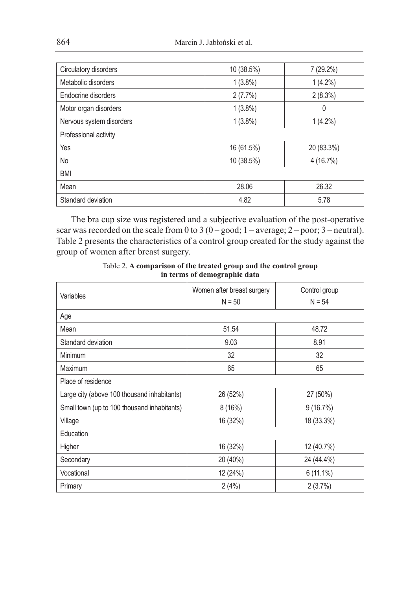| Circulatory disorders    | 10 (38.5%) | 7(29.2%)   |  |  |
|--------------------------|------------|------------|--|--|
| Metabolic disorders      | $1(3.8\%)$ | $1(4.2\%)$ |  |  |
| Endocrine disorders      | 2(7.7%)    | $2(8.3\%)$ |  |  |
| Motor organ disorders    | $1(3.8\%)$ | 0          |  |  |
| Nervous system disorders | $1(3.8\%)$ | $1(4.2\%)$ |  |  |
| Professional activity    |            |            |  |  |
| Yes                      | 16 (61.5%) | 20 (83.3%) |  |  |
| No                       | 10 (38.5%) | 4(16.7%)   |  |  |
| <b>BMI</b>               |            |            |  |  |
| Mean                     | 28.06      | 26.32      |  |  |
| Standard deviation       | 4.82       | 5.78       |  |  |

The bra cup size was registered and a subjective evaluation of the post-operative scar was recorded on the scale from 0 to 3 ( $0 - \text{good}$ ;  $1 - \text{average}$ ;  $2 - \text{poor}$ ;  $3 - \text{neutral}$ ). Table 2 presents the characteristics of a control group created for the study against the group of women after breast surgery.

Table 2. **A comparison of the treated group and the control group in terms of demographic data**

| Variables                                   | Women after breast surgery<br>$N = 50$ | Control group<br>$N = 54$ |
|---------------------------------------------|----------------------------------------|---------------------------|
| Age                                         |                                        |                           |
| Mean                                        | 51.54                                  | 48.72                     |
| Standard deviation                          | 9.03                                   | 8.91                      |
| Minimum                                     | 32                                     | 32                        |
| Maximum                                     | 65                                     | 65                        |
| Place of residence                          |                                        |                           |
| Large city (above 100 thousand inhabitants) | 26 (52%)                               | 27 (50%)                  |
| Small town (up to 100 thousand inhabitants) | 8(16%)                                 | 9(16.7%)                  |
| Village                                     | 16 (32%)                               | 18 (33.3%)                |
| Education                                   |                                        |                           |
| Higher                                      | 16 (32%)                               | 12 (40.7%)                |
| Secondary                                   | 20 (40%)                               | 24 (44.4%)                |
| Vocational                                  | 12 (24%)                               | $6(11.1\%)$               |
| Primary                                     | 2(4%)                                  | $2(3.7\%)$                |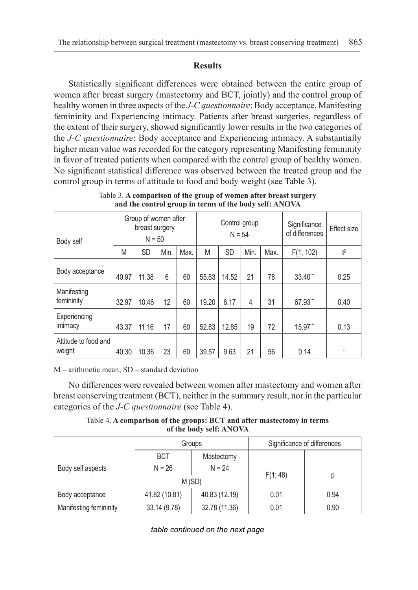# **Results**

Statistically significant differences were obtained between the entire group of women after breast surgery (mastectomy and BCT, jointly) and the control group of healthy women in three aspects of the *J-C questionnaire*: Body acceptance, Manifesting femininity and Experiencing intimacy. Patients after breast surgeries, regardless of the extent of their surgery, showed significantly lower results in the two categories of the *J-C questionnaire*: Body acceptance and Experiencing intimacy. A substantially higher mean value was recorded for the category representing Manifesting femininity in favor of treated patients when compared with the control group of healthy women. No significant statistical difference was observed between the treated group and the control group in terms of attitude to food and body weight (see Table 3).

| Body self                      |       | Group of women after<br>breast surgery<br>$N = 50$ |      |      | Control group<br>$N = 54$ |           | Significance<br>of differences | Effect size |           |                |
|--------------------------------|-------|----------------------------------------------------|------|------|---------------------------|-----------|--------------------------------|-------------|-----------|----------------|
|                                | M     | <b>SD</b>                                          | Min. | Max. | M                         | <b>SD</b> | Min.                           | Max.        | F(1, 102) | $\mathbb{P}^2$ |
| Body acceptance                | 40.97 | 11.38                                              | 6    | 60   | 55.83                     | 14.52     | 21                             | 78          | 33.40**   | 0.25           |
| Manifesting<br>femininity      | 32.97 | 10.46                                              | 12   | 60   | 19.20                     | 6.17      | 4                              | 31          | 67.93***  | 0.40           |
| Experiencing<br>intimacy       | 43.37 | 11.16                                              | 17   | 60   | 52.83                     | 12.85     | 19                             | 72          | 15.97***  | 0.13           |
| Attitude to food and<br>weight | 40.30 | 10.36                                              | 23   | 60   | 39.57                     | 9.63      | 21                             | 56          | 0.14      |                |

Table 3. **A comparison of the group of women after breast surgery and the control group in terms of the body self: ANOVA**

M – arithmetic mean; SD – standard deviation

No differences were revealed between women after mastectomy and women after breast conserving treatment (BCT), neither in the summary result, nor in the particular categories of the *J-C questionnaire* (see Table 4).

Table 4. **A comparison of the groups: BCT and after mastectomy in terms of the body self: ANOVA**

|                        |                        | Groups                 | Significance of differences |      |  |
|------------------------|------------------------|------------------------|-----------------------------|------|--|
| Body self aspects      | <b>BCT</b><br>$N = 26$ | Mastectomy<br>$N = 24$ |                             |      |  |
|                        | M (SD)                 |                        | F(1; 48)                    | р    |  |
| Body acceptance        | 41.82 (10.81)          | 40.83 (12.19)          | 0.01                        | 0.94 |  |
| Manifesting femininity | 33.14 (9.78)           | 32.78 (11.36)          | 0.01                        | 0.90 |  |

*table continued on the next page*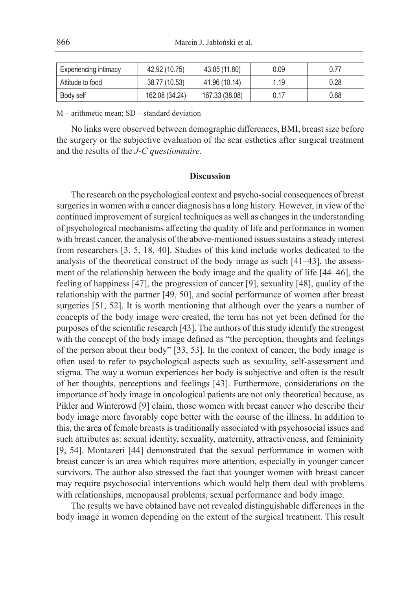| <b>Experiencing intimacy</b> | 42.92 (10.75)  | 43.85 (11.80)  | 0.09 | 0.77 |
|------------------------------|----------------|----------------|------|------|
| Attitude to food             | 38.77 (10.53)  | 41.96 (10.14)  | 1.19 | 0.28 |
| Body self                    | 162.08 (34.24) | 167.33 (38.08) | 0.17 | 0.68 |

M – arithmetic mean; SD – standard deviation

No links were observed between demographic differences, BMI, breast size before the surgery or the subjective evaluation of the scar esthetics after surgical treatment and the results of the *J-C questionnaire*.

#### **Discussion**

The research on the psychological context and psycho-social consequences of breast surgeries in women with a cancer diagnosis has a long history. However, in view of the continued improvement of surgical techniques as well as changes in the understanding of psychological mechanisms affecting the quality of life and performance in women with breast cancer, the analysis of the above-mentioned issues sustains a steady interest from researchers [3, 5, 18, 40]. Studies of this kind include works dedicated to the analysis of the theoretical construct of the body image as such [41–43], the assessment of the relationship between the body image and the quality of life [44–46], the feeling of happiness [47], the progression of cancer [9], sexuality [48], quality of the relationship with the partner [49, 50], and social performance of women after breast surgeries [51, 52]. It is worth mentioning that although over the years a number of concepts of the body image were created, the term has not yet been defined for the purposes of the scientific research [43]. The authors of this study identify the strongest with the concept of the body image defined as "the perception, thoughts and feelings of the person about their body" [33, 53]. In the context of cancer, the body image is often used to refer to psychological aspects such as sexuality, self-assessment and stigma. The way a woman experiences her body is subjective and often is the result of her thoughts, perceptions and feelings [43]. Furthermore, considerations on the importance of body image in oncological patients are not only theoretical because, as Pikler and Winterowd [9] claim, those women with breast cancer who describe their body image more favorably cope better with the course of the illness. In addition to this, the area of female breasts is traditionally associated with psychosocial issues and such attributes as: sexual identity, sexuality, maternity, attractiveness, and femininity [9, 54]. Montazeri [44] demonstrated that the sexual performance in women with breast cancer is an area which requires more attention, especially in younger cancer survivors. The author also stressed the fact that younger women with breast cancer may require psychosocial interventions which would help them deal with problems with relationships, menopausal problems, sexual performance and body image.

The results we have obtained have not revealed distinguishable differences in the body image in women depending on the extent of the surgical treatment. This result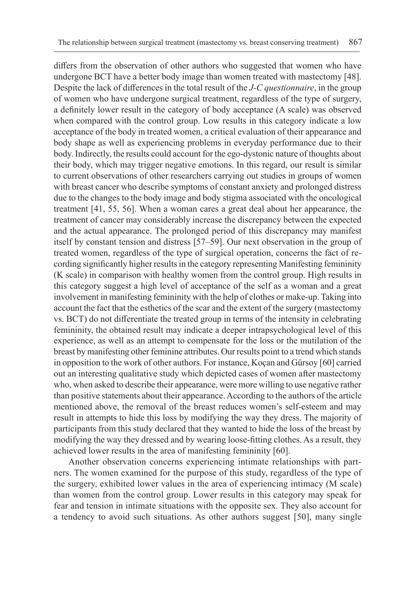differs from the observation of other authors who suggested that women who have undergone BCT have a better body image than women treated with mastectomy [48]. Despite the lack of differences in the total result of the *J-C questionnaire*, in the group of women who have undergone surgical treatment, regardless of the type of surgery, a definitely lower result in the category of body acceptance (A scale) was observed when compared with the control group. Low results in this category indicate a low acceptance of the body in treated women, a critical evaluation of their appearance and body shape as well as experiencing problems in everyday performance due to their body. Indirectly, the results could account for the ego-dystonic nature of thoughts about their body, which may trigger negative emotions. In this regard, our result is similar to current observations of other researchers carrying out studies in groups of women with breast cancer who describe symptoms of constant anxiety and prolonged distress due to the changes to the body image and body stigma associated with the oncological treatment [41, 55, 56]. When a woman cares a great deal about her appearance, the treatment of cancer may considerably increase the discrepancy between the expected and the actual appearance. The prolonged period of this discrepancy may manifest itself by constant tension and distress [57–59]. Our next observation in the group of treated women, regardless of the type of surgical operation, concerns the fact of recording significantly higher results in the category representing Manifesting femininity (K scale) in comparison with healthy women from the control group. High results in this category suggest a high level of acceptance of the self as a woman and a great involvement in manifesting femininity with the help of clothes or make-up. Taking into account the fact that the esthetics of the scar and the extent of the surgery (mastectomy vs. BCT) do not differentiate the treated group in terms of the intensity in celebrating femininity, the obtained result may indicate a deeper intrapsychological level of this experience, as well as an attempt to compensate for the loss or the mutilation of the breast by manifesting other feminine attributes. Our results point to a trend which stands in opposition to the work of other authors. For instance, Koçan and Gürsoy [60] carried out an interesting qualitative study which depicted cases of women after mastectomy who, when asked to describe their appearance, were more willing to use negative rather than positive statements about their appearance. According to the authors of the article mentioned above, the removal of the breast reduces women's self-esteem and may result in attempts to hide this loss by modifying the way they dress. The majority of participants from this study declared that they wanted to hide the loss of the breast by modifying the way they dressed and by wearing loose-fitting clothes. As a result, they achieved lower results in the area of manifesting femininity [60].

Another observation concerns experiencing intimate relationships with partners. The women examined for the purpose of this study, regardless of the type of the surgery, exhibited lower values in the area of experiencing intimacy (M scale) than women from the control group. Lower results in this category may speak for fear and tension in intimate situations with the opposite sex. They also account for a tendency to avoid such situations. As other authors suggest [50], many single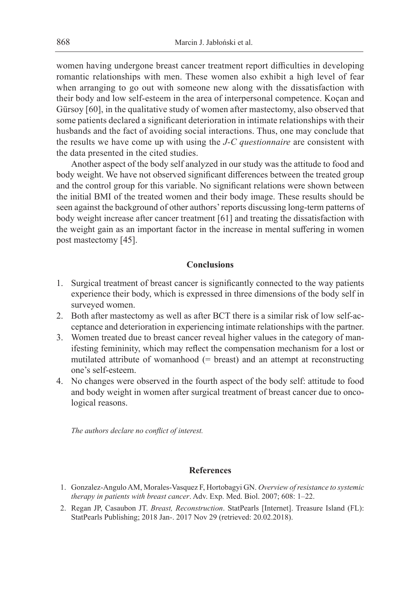women having undergone breast cancer treatment report difficulties in developing romantic relationships with men. These women also exhibit a high level of fear when arranging to go out with someone new along with the dissatisfaction with their body and low self-esteem in the area of interpersonal competence. Koçan and Gürsoy [60], in the qualitative study of women after mastectomy, also observed that some patients declared a significant deterioration in intimate relationships with their husbands and the fact of avoiding social interactions. Thus, one may conclude that the results we have come up with using the *J-C questionnaire* are consistent with the data presented in the cited studies.

Another aspect of the body self analyzed in our study was the attitude to food and body weight. We have not observed significant differences between the treated group and the control group for this variable. No significant relations were shown between the initial BMI of the treated women and their body image. These results should be seen against the background of other authors' reports discussing long-term patterns of body weight increase after cancer treatment [61] and treating the dissatisfaction with the weight gain as an important factor in the increase in mental suffering in women post mastectomy [45].

# **Conclusions**

- 1. Surgical treatment of breast cancer is significantly connected to the way patients experience their body, which is expressed in three dimensions of the body self in surveyed women.
- 2. Both after mastectomy as well as after BCT there is a similar risk of low self-acceptance and deterioration in experiencing intimate relationships with the partner.
- 3. Women treated due to breast cancer reveal higher values in the category of manifesting femininity, which may reflect the compensation mechanism for a lost or mutilated attribute of womanhood (= breast) and an attempt at reconstructing one's self-esteem.
- 4. No changes were observed in the fourth aspect of the body self: attitude to food and body weight in women after surgical treatment of breast cancer due to oncological reasons.

*The authors declare no conflict of interest.*

# **References**

- 1. Gonzalez-Angulo AM, Morales-Vasquez F, Hortobagyi GN. *Overview of resistance to systemic therapy in patients with breast cancer*. Adv. Exp. Med. Biol. 2007; 608: 1–22.
- 2. Regan JP, Casaubon JT. *Breast, Reconstruction*. StatPearls [Internet]. Treasure Island (FL): StatPearls Publishing; 2018 Jan-. 2017 Nov 29 (retrieved: 20.02.2018).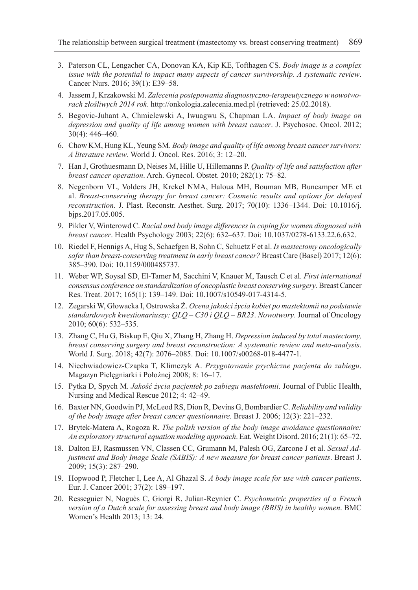- 3. Paterson CL, Lengacher CA, Donovan KA, Kip KE, Tofthagen CS. *Body image is a complex issue with the potential to impact many aspects of cancer survivorship. A systematic review*. Cancer Nurs. 2016; 39(1): E39–58.
- 4. Jassem J, Krzakowski M. *Zalecenia postępowania diagnostyczno-terapeutycznego w nowotworach złośliwych 2014 rok*. http://onkologia.zalecenia.med.pl (retrieved: 25.02.2018).
- 5. Begovic-Juhant A, Chmielewski A, Iwuagwu S, Chapman LA. *Impact of body image on depression and quality of life among women with breast cancer*. J. Psychosoc. Oncol. 2012; 30(4): 446–460.
- 6. Chow KM, Hung KL, Yeung SM. *Body image and quality of life among breast cancer survivors: A literature review*. World J. Oncol. Res. 2016; 3: 12–20.
- 7. Han J, Grothuesmann D, Neises M, Hille U, Hillemanns P. *Quality of life and satisfaction after breast cancer operation*. Arch. Gynecol. Obstet. 2010; 282(1): 75–82.
- 8. Negenborn VL, Volders JH, Krekel NMA, Haloua MH, Bouman MB, Buncamper ME et al. *Breast-conserving therapy for breast cancer: Cosmetic results and options for delayed reconstruction*. J. Plast. Reconstr. Aesthet. Surg. 2017; 70(10): 1336–1344. Doi: 10.1016/j. bjps.2017.05.005.
- 9. Pikler V, Winterowd C. *Racial and body image differences in coping for women diagnosed with breast cancer*. Health Psychology 2003; 22(6): 632–637. Doi: 10.1037/0278-6133.22.6.632.
- 10. Riedel F, Hennigs A, Hug S, Schaefgen B, Sohn C, Schuetz F et al. *Is mastectomy oncologically safer than breast-conserving treatment in early breast cancer?* Breast Care (Basel) 2017; 12(6): 385–390. Doi: 10.1159/000485737.
- 11. Weber WP, Soysal SD, El-Tamer M, Sacchini V, Knauer M, Tausch C et al. *First international consensus conference on standardization of oncoplastic breast conserving surgery*. Breast Cancer Res. Treat. 2017; 165(1): 139–149. Doi: 10.1007/s10549-017-4314-5.
- 12. Zegarski W, Głowacka I, Ostrowska Ż. *Ocena jakości życia kobiet po mastektomii na podstawie standardowych kwestionariuszy: QLQ – C30 i QLQ – BR23*. *Nowotwory*. Journal of Oncology 2010; 60(6): 532–535.
- 13. Zhang C, Hu G, Biskup E, Qiu X, Zhang H, Zhang H. *Depression induced by total mastectomy, breast conserving surgery and breast reconstruction: A systematic review and meta-analysis*. World J. Surg. 2018; 42(7): 2076–2085. Doi: 10.1007/s00268-018-4477-1.
- 14. Niechwiadowicz-Czapka T, Klimczyk A. *Przygotowanie psychiczne pacjenta do zabiegu*. Magazyn Pielęgniarki i Położnej 2008; 8: 16–17.
- 15. Pytka D, Spych M. *Jakość życia pacjentek po zabiegu mastektomii*. Journal of Public Health, Nursing and Medical Rescue 2012; 4: 42–49.
- 16. Baxter NN, Goodwin PJ, McLeod RS, Dion R, Devins G, Bombardier C. *Reliability and validity of the body image after breast cancer questionnaire*. Breast J. 2006; 12(3): 221–232.
- 17. Brytek-Matera A, Rogoza R. *The polish version of the body image avoidance questionnaire: An exploratory structural equation modeling approach*. Eat. Weight Disord. 2016; 21(1): 65–72.
- 18. Dalton EJ, Rasmussen VN, Classen CC, Grumann M, Palesh OG, Zarcone J et al. *Sexual Adjustment and Body Image Scale (SABIS): A new measure for breast cancer patients*. Breast J. 2009; 15(3): 287–290.
- 19. Hopwood P, Fletcher I, Lee A, Al Ghazal S. *A body image scale for use with cancer patients*. Eur. J. Cancer 2001; 37(2): 189–197.
- 20. Resseguier N, Noguès C, Giorgi R, Julian-Reynier C. *Psychometric properties of a French version of a Dutch scale for assessing breast and body image (BBIS) in healthy women*. BMC Women's Health 2013; 13: 24.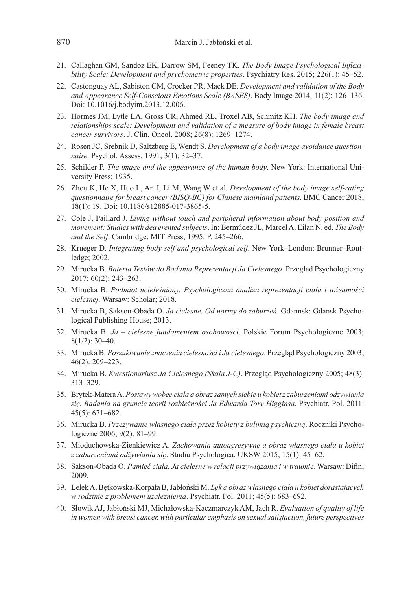- 21. Callaghan GM, Sandoz EK, Darrow SM, Feeney TK. *The Body Image Psychological Inflexibility Scale: Development and psychometric properties*. Psychiatry Res. 2015; 226(1): 45–52.
- 22. Castonguay AL, Sabiston CM, Crocker PR, Mack DE. *Development and validation of the Body and Appearance Self-Conscious Emotions Scale (BASES)*. Body Image 2014; 11(2): 126–136. Doi: 10.1016/j.bodyim.2013.12.006.
- 23. Hormes JM, Lytle LA, Gross CR, Ahmed RL, Troxel AB, Schmitz KH. *The body image and relationships scale: Development and validation of a measure of body image in female breast cancer survivors*. J. Clin. Oncol. 2008; 26(8): 1269–1274.
- 24. Rosen JC, Srebnik D, Saltzberg E, Wendt S. *Development of a body image avoidance questionnaire*. Psychol. Assess. 1991; 3(1): 32–37.
- 25. Schilder P. *The image and the appearance of the human body*. New York: International University Press; 1935.
- 26. Zhou K, He X, Huo L, An J, Li M, Wang W et al. *Development of the body image self-rating questionnaire for breast cancer (BISQ-BC) for Chinese mainland patients*. BMC Cancer 2018; 18(1): 19. Doi: 10.1186/s12885-017-3865-5.
- 27. Cole J, Paillard J. *Living without touch and peripheral information about body position and movement: Studies with dea erented subjects*. In: Bermúdez JL, Marcel A, Eilan N. ed. *The Body and the Self*. Cambridge: MIT Press; 1995. P. 245–266.
- 28. Krueger D. *Integrating body self and psychological self*. New York–London: Brunner–Routledge; 2002.
- 29. Mirucka B. *Bateria Testów do Badania Reprezentacji Ja Cielesnego*. Przegląd Psychologiczny 2017; 60(2): 243–263.
- 30. Mirucka B. *Podmiot ucieleśniony. Psychologiczna analiza reprezentacji ciała i tożsamości cielesnej*. Warsaw: Scholar; 2018.
- 31. Mirucka B, Sakson-Obada O. *Ja cielesne. Od normy do zaburzeń*. Gdannsk: Gdansk Psychological Publishing House; 2013.
- 32. Mirucka B. *Ja cielesne fundamentem osobowości*. Polskie Forum Psychologiczne 2003; 8(1/2): 30–40.
- 33. Mirucka B. *Poszukiwanie znaczenia cielesności i Ja cielesnego*. Przegląd Psychologiczny 2003; 46(2): 209–223.
- 34. Mirucka B. *Kwestionariusz Ja Cielesnego (Skala J-C)*. Przegląd Psychologiczny 2005; 48(3): 313–329.
- 35. Brytek-Matera A. *Postawy wobec ciała a obraz samych siebie u kobiet zzaburzeniami odżywiania się. Badania na gruncie teorii rozbieżności Ja Edwarda Tory Higginsa*. Psychiatr. Pol. 2011: 45(5): 671–682.
- 36. Mirucka B. *Przeżywanie własnego ciała przez kobiety z bulimią psychiczną*. Roczniki Psychologiczne 2006; 9(2): 81–99.
- 37. Mioduchowska-Zienkiewicz A. *Zachowania autoagresywne a obraz własnego ciała u kobiet z zaburzeniami odżywiania się*. Studia Psychologica. UKSW 2015; 15(1): 45–62.
- 38. Sakson-Obada O. *Pamięć ciała. Ja cielesne w relacji przywiązania i w traumie*. Warsaw: Difin; 2009.
- 39. Lelek A, Bętkowska-Korpała B, Jabłoński M. *Lęk a obraz własnego ciała u kobiet dorastających w rodzinie z problemem uzależnienia*. Psychiatr. Pol. 2011; 45(5): 683–692.
- 40. Słowik AJ, Jabłoński MJ, Michałowska-Kaczmarczyk AM, Jach R. *Evaluation of quality of life in women with breast cancer, with particular emphasis on sexual satisfaction, future perspectives*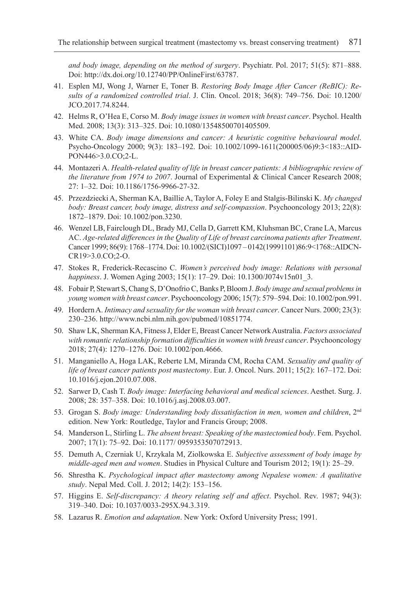*and body image, depending on the method of surgery*. Psychiatr. Pol. 2017; 51(5): 871–888. Doi: http://dx.doi.org/10.12740/PP/OnlineFirst/63787.

- 41. Esplen MJ, Wong J, Warner E, Toner B. *Restoring Body Image After Cancer (ReBIC): Results of a randomized controlled trial*. J. Clin. Oncol. 2018; 36(8): 749–756. Doi: 10.1200/ JCO.2017.74.8244.
- 42. Helms R, O'Hea E, Corso M. *Body image issues in women with breast cancer*. Psychol. Health Med. 2008; 13(3): 313–325. Doi: 10.1080/13548500701405509.
- 43. White CA. *Body image dimensions and cancer: A heuristic cognitive behavioural model*. Psycho-Oncology 2000; 9(3): 183–192. Doi: 10.1002/1099-1611(200005/06)9:3<183::AID-PON446>3.0.CO;2-L.
- 44. Montazeri A. *Health-related quality of life in breast cancer patients: A bibliographic review of the literature from 1974 to 2007*. Journal of Experimental & Clinical Cancer Research 2008; 27: 1–32. Doi: 10.1186/1756-9966-27-32.
- 45. Przezdziecki A, Sherman KA, Baillie A, Taylor A, Foley E and Stalgis-Bilinski K. *My changed body: Breast cancer, body image, distress and self-compassion*. Psychooncology 2013; 22(8): 1872–1879. Doi: 10.1002/pon.3230.
- 46. Wenzel LB, Fairclough DL, Brady MJ, Cella D, Garrett KM, Kluhsman BC, Crane LA, Marcus AC. *Age-related differences in the Quality of Life of breast carcinoma patients after Treatment*. Cancer 1999; 86(9): 1768–1774. Doi: 10.1002/(SICI)1097 – 0142(19991101)86:9<1768::AIDCN-CR19>3.0.CO;2-O.
- 47. Stokes R, Frederick-Recascino C. *Women's perceived body image: Relations with personal happiness*. J. Women Aging 2003; 15(1): 17–29. Doi: 10.1300/J074v15n01\_3.
- 48. Fobair P, Stewart S, Chang S, D'Onofrio C, Banks P, Bloom J. *Body image and sexual problems in young women with breast cancer*. Psychooncology 2006; 15(7): 579–594. Doi: 10.1002/pon.991.
- 49. Hordern A. *Intimacy and sexuality for the woman with breast cancer*. Cancer Nurs. 2000; 23(3): 230–236. http://www.ncbi.nlm.nih.gov/pubmed/10851774.
- 50. Shaw LK, Sherman KA, Fitness J, Elder E, Breast Cancer Network Australia. *Factors associated with romantic relationship formation difficulties in women with breast cancer*. Psychooncology 2018; 27(4): 1270–1276. Doi: 10.1002/pon.4666.
- 51. Manganiello A, Hoga LAK, Reberte LM, Miranda CM, Rocha CAM. *Sexuality and quality of life of breast cancer patients post mastectomy*. Eur. J. Oncol. Nurs. 2011; 15(2): 167–172. Doi: 10.1016/j.ejon.2010.07.008.
- 52. Sarwer D, Cash T. *Body image: Interfacing behavioral and medical sciences*. Aesthet. Surg. J. 2008; 28: 357–358. Doi: 10.1016/j.asj.2008.03.007.
- 53. Grogan S. *Body image: Understanding body dissatisfaction in men, women and children*, 2nd edition. New York: Routledge, Taylor and Francis Group; 2008.
- 54. Manderson L, Stirling L. *The absent breast: Speaking of the mastectomied body*. Fem. Psychol. 2007; 17(1): 75–92. Doi: 10.1177/ 0959353507072913.
- 55. Demuth A, Czerniak U, Krzykala M, Ziolkowska E. *Subjective assessment of body image by middle-aged men and women*. Studies in Physical Culture and Tourism 2012; 19(1): 25–29.
- 56. Shrestha K. *Psychological impact after mastectomy among Nepalese women: A qualitative study*. Nepal Med. Coll. J. 2012; 14(2): 153–156.
- 57. Higgins E. *Self-discrepancy: A theory relating self and affect*. Psychol. Rev. 1987; 94(3): 319–340. Doi: 10.1037/0033-295X.94.3.319.
- 58. Lazarus R. *Emotion and adaptation*. New York: Oxford University Press; 1991.